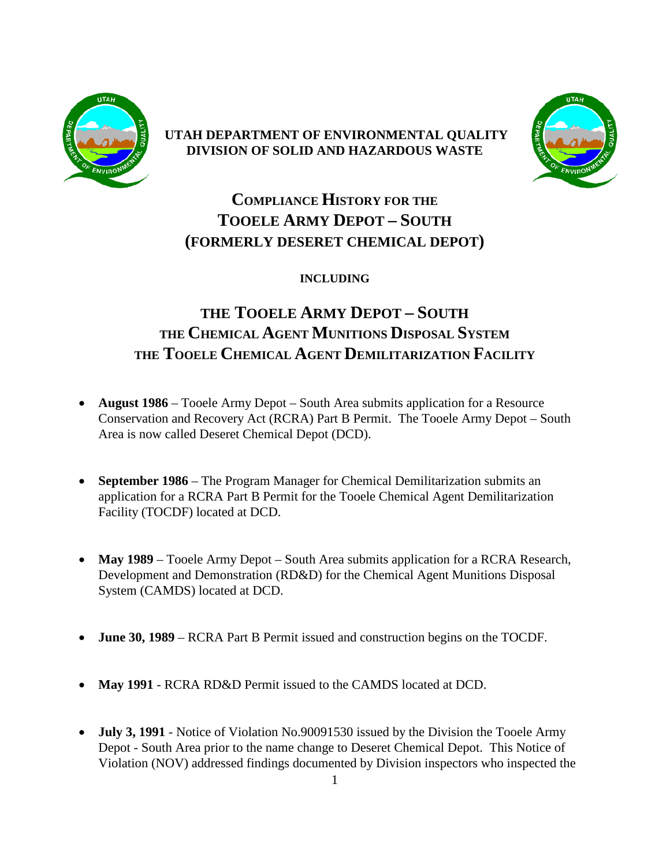

### **UTAH DEPARTMENT OF ENVIRONMENTAL QUALITY DIVISION OF SOLID AND HAZARDOUS WASTE**



# **COMPLIANCE HISTORY FOR THE TOOELE ARMY DEPOT – SOUTH (FORMERLY DESERET CHEMICAL DEPOT)**

### **INCLUDING**

## **THE TOOELE ARMY DEPOT – SOUTH THE CHEMICAL AGENT MUNITIONS DISPOSAL SYSTEM THE TOOELE CHEMICAL AGENT DEMILITARIZATION FACILITY**

- **August 1986** Tooele Army Depot South Area submits application for a Resource Conservation and Recovery Act (RCRA) Part B Permit. The Tooele Army Depot – South Area is now called Deseret Chemical Depot (DCD).
- **September 1986** The Program Manager for Chemical Demilitarization submits an application for a RCRA Part B Permit for the Tooele Chemical Agent Demilitarization Facility (TOCDF) located at DCD.
- May 1989 Tooele Army Depot South Area submits application for a RCRA Research, Development and Demonstration (RD&D) for the Chemical Agent Munitions Disposal System (CAMDS) located at DCD.
- **June 30, 1989** RCRA Part B Permit issued and construction begins on the TOCDF.
- **May 1991** RCRA RD&D Permit issued to the CAMDS located at DCD.
- **July 3, 1991** Notice of Violation No.90091530 issued by the Division the Tooele Army Depot - South Area prior to the name change to Deseret Chemical Depot. This Notice of Violation (NOV) addressed findings documented by Division inspectors who inspected the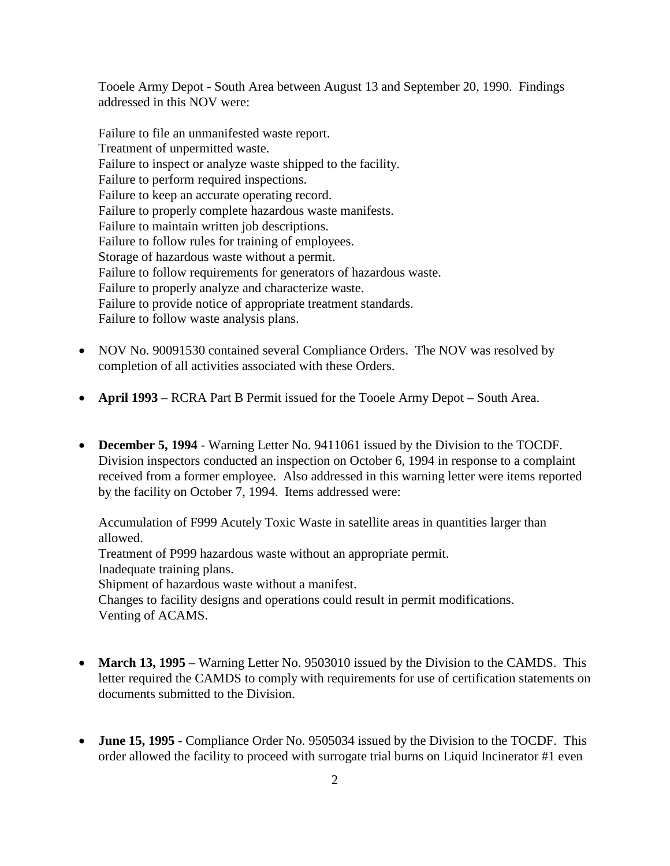Tooele Army Depot - South Area between August 13 and September 20, 1990. Findings addressed in this NOV were:

Failure to file an unmanifested waste report. Treatment of unpermitted waste. Failure to inspect or analyze waste shipped to the facility. Failure to perform required inspections. Failure to keep an accurate operating record. Failure to properly complete hazardous waste manifests. Failure to maintain written job descriptions. Failure to follow rules for training of employees. Storage of hazardous waste without a permit. Failure to follow requirements for generators of hazardous waste. Failure to properly analyze and characterize waste. Failure to provide notice of appropriate treatment standards. Failure to follow waste analysis plans.

- NOV No. 90091530 contained several Compliance Orders. The NOV was resolved by completion of all activities associated with these Orders.
- **April 1993** RCRA Part B Permit issued for the Tooele Army Depot South Area.
- **December 5, 1994** Warning Letter No. 9411061 issued by the Division to the TOCDF. Division inspectors conducted an inspection on October 6, 1994 in response to a complaint received from a former employee. Also addressed in this warning letter were items reported by the facility on October 7, 1994. Items addressed were:

Accumulation of F999 Acutely Toxic Waste in satellite areas in quantities larger than allowed. Treatment of P999 hazardous waste without an appropriate permit. Inadequate training plans. Shipment of hazardous waste without a manifest. Changes to facility designs and operations could result in permit modifications. Venting of ACAMS.

- **March 13, 1995** Warning Letter No. 9503010 issued by the Division to the CAMDS. This letter required the CAMDS to comply with requirements for use of certification statements on documents submitted to the Division.
- **June 15, 1995** Compliance Order No. 9505034 issued by the Division to the TOCDF. This order allowed the facility to proceed with surrogate trial burns on Liquid Incinerator #1 even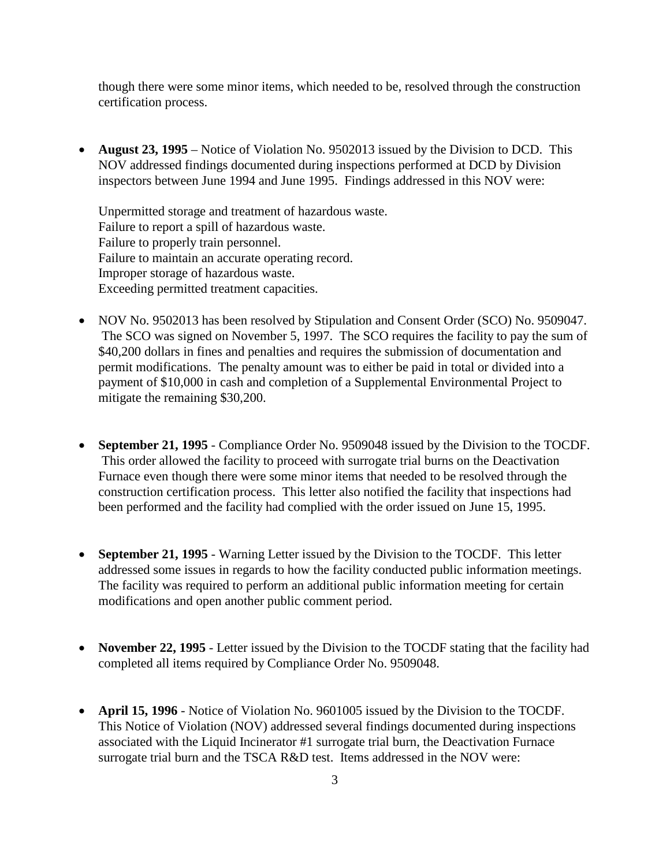though there were some minor items, which needed to be, resolved through the construction certification process.

• **August 23, 1995** – Notice of Violation No. 9502013 issued by the Division to DCD. This NOV addressed findings documented during inspections performed at DCD by Division inspectors between June 1994 and June 1995. Findings addressed in this NOV were:

Unpermitted storage and treatment of hazardous waste. Failure to report a spill of hazardous waste. Failure to properly train personnel. Failure to maintain an accurate operating record. Improper storage of hazardous waste. Exceeding permitted treatment capacities.

- NOV No. 9502013 has been resolved by Stipulation and Consent Order (SCO) No. 9509047. The SCO was signed on November 5, 1997. The SCO requires the facility to pay the sum of \$40,200 dollars in fines and penalties and requires the submission of documentation and permit modifications. The penalty amount was to either be paid in total or divided into a payment of \$10,000 in cash and completion of a Supplemental Environmental Project to mitigate the remaining \$30,200.
- **September 21, 1995** Compliance Order No. 9509048 issued by the Division to the TOCDF. This order allowed the facility to proceed with surrogate trial burns on the Deactivation Furnace even though there were some minor items that needed to be resolved through the construction certification process. This letter also notified the facility that inspections had been performed and the facility had complied with the order issued on June 15, 1995.
- **September 21, 1995** Warning Letter issued by the Division to the TOCDF. This letter addressed some issues in regards to how the facility conducted public information meetings. The facility was required to perform an additional public information meeting for certain modifications and open another public comment period.
- **November 22, 1995** Letter issued by the Division to the TOCDF stating that the facility had completed all items required by Compliance Order No. 9509048.
- **April 15, 1996** Notice of Violation No. 9601005 issued by the Division to the TOCDF. This Notice of Violation (NOV) addressed several findings documented during inspections associated with the Liquid Incinerator #1 surrogate trial burn, the Deactivation Furnace surrogate trial burn and the TSCA R&D test. Items addressed in the NOV were: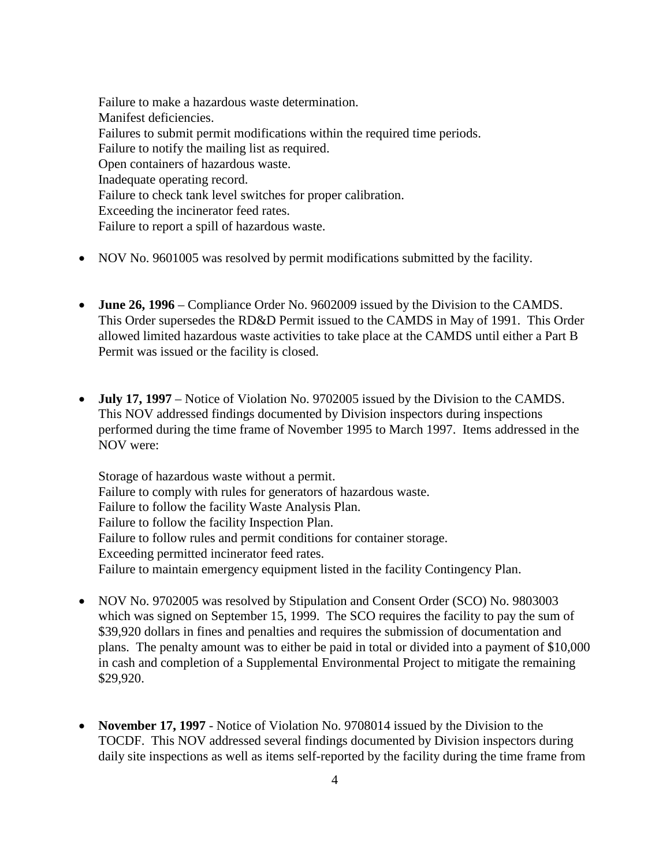Failure to make a hazardous waste determination. Manifest deficiencies. Failures to submit permit modifications within the required time periods. Failure to notify the mailing list as required. Open containers of hazardous waste. Inadequate operating record. Failure to check tank level switches for proper calibration. Exceeding the incinerator feed rates. Failure to report a spill of hazardous waste.

- NOV No. 9601005 was resolved by permit modifications submitted by the facility.
- **June 26, 1996** Compliance Order No. 9602009 issued by the Division to the CAMDS. This Order supersedes the RD&D Permit issued to the CAMDS in May of 1991. This Order allowed limited hazardous waste activities to take place at the CAMDS until either a Part B Permit was issued or the facility is closed.
- **July 17, 1997** Notice of Violation No. 9702005 issued by the Division to the CAMDS. This NOV addressed findings documented by Division inspectors during inspections performed during the time frame of November 1995 to March 1997. Items addressed in the NOV were:

Storage of hazardous waste without a permit. Failure to comply with rules for generators of hazardous waste. Failure to follow the facility Waste Analysis Plan. Failure to follow the facility Inspection Plan. Failure to follow rules and permit conditions for container storage. Exceeding permitted incinerator feed rates. Failure to maintain emergency equipment listed in the facility Contingency Plan.

- NOV No. 9702005 was resolved by Stipulation and Consent Order (SCO) No. 9803003 which was signed on September 15, 1999. The SCO requires the facility to pay the sum of \$39,920 dollars in fines and penalties and requires the submission of documentation and plans. The penalty amount was to either be paid in total or divided into a payment of \$10,000 in cash and completion of a Supplemental Environmental Project to mitigate the remaining \$29,920.
- **November 17, 1997** Notice of Violation No. 9708014 issued by the Division to the TOCDF. This NOV addressed several findings documented by Division inspectors during daily site inspections as well as items self-reported by the facility during the time frame from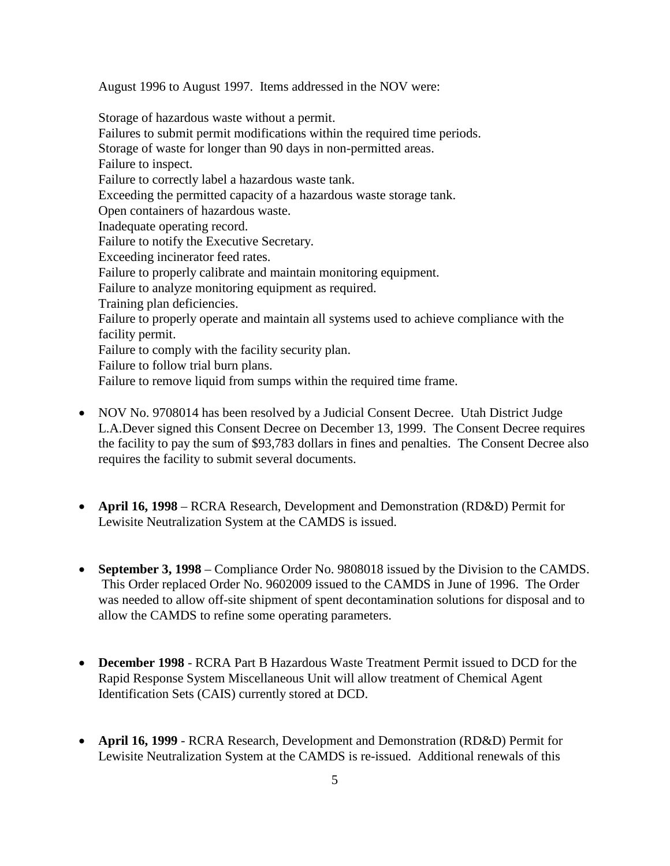August 1996 to August 1997. Items addressed in the NOV were:

Storage of hazardous waste without a permit. Failures to submit permit modifications within the required time periods. Storage of waste for longer than 90 days in non-permitted areas. Failure to inspect. Failure to correctly label a hazardous waste tank. Exceeding the permitted capacity of a hazardous waste storage tank. Open containers of hazardous waste. Inadequate operating record. Failure to notify the Executive Secretary. Exceeding incinerator feed rates. Failure to properly calibrate and maintain monitoring equipment. Failure to analyze monitoring equipment as required. Training plan deficiencies. Failure to properly operate and maintain all systems used to achieve compliance with the facility permit. Failure to comply with the facility security plan. Failure to follow trial burn plans. Failure to remove liquid from sumps within the required time frame.

- NOV No. 9708014 has been resolved by a Judicial Consent Decree. Utah District Judge L.A.Dever signed this Consent Decree on December 13, 1999. The Consent Decree requires the facility to pay the sum of \$93,783 dollars in fines and penalties. The Consent Decree also requires the facility to submit several documents.
- **April 16, 1998** RCRA Research, Development and Demonstration (RD&D) Permit for Lewisite Neutralization System at the CAMDS is issued.
- **September 3, 1998** Compliance Order No. 9808018 issued by the Division to the CAMDS. This Order replaced Order No. 9602009 issued to the CAMDS in June of 1996. The Order was needed to allow off-site shipment of spent decontamination solutions for disposal and to allow the CAMDS to refine some operating parameters.
- **December 1998** RCRA Part B Hazardous Waste Treatment Permit issued to DCD for the Rapid Response System Miscellaneous Unit will allow treatment of Chemical Agent Identification Sets (CAIS) currently stored at DCD.
- **April 16, 1999** RCRA Research, Development and Demonstration (RD&D) Permit for Lewisite Neutralization System at the CAMDS is re-issued. Additional renewals of this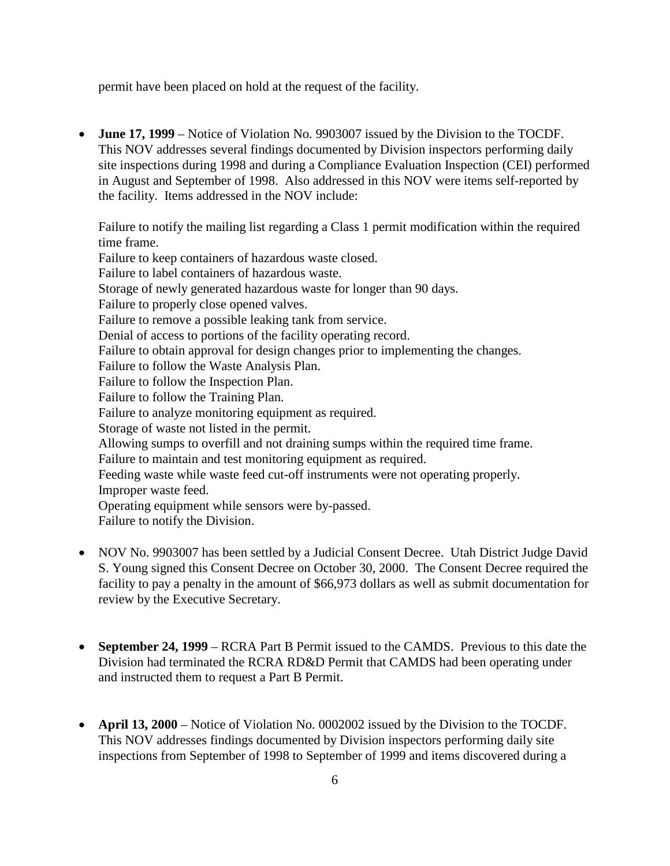permit have been placed on hold at the request of the facility.

• **June 17, 1999** – Notice of Violation No. 9903007 issued by the Division to the TOCDF. This NOV addresses several findings documented by Division inspectors performing daily site inspections during 1998 and during a Compliance Evaluation Inspection (CEI) performed in August and September of 1998. Also addressed in this NOV were items self-reported by the facility. Items addressed in the NOV include:

Failure to notify the mailing list regarding a Class 1 permit modification within the required time frame. Failure to keep containers of hazardous waste closed. Failure to label containers of hazardous waste. Storage of newly generated hazardous waste for longer than 90 days. Failure to properly close opened valves. Failure to remove a possible leaking tank from service. Denial of access to portions of the facility operating record. Failure to obtain approval for design changes prior to implementing the changes. Failure to follow the Waste Analysis Plan. Failure to follow the Inspection Plan. Failure to follow the Training Plan. Failure to analyze monitoring equipment as required. Storage of waste not listed in the permit. Allowing sumps to overfill and not draining sumps within the required time frame. Failure to maintain and test monitoring equipment as required. Feeding waste while waste feed cut-off instruments were not operating properly. Improper waste feed. Operating equipment while sensors were by-passed. Failure to notify the Division.

- NOV No. 9903007 has been settled by a Judicial Consent Decree. Utah District Judge David S. Young signed this Consent Decree on October 30, 2000. The Consent Decree required the facility to pay a penalty in the amount of \$66,973 dollars as well as submit documentation for review by the Executive Secretary.
- **September 24, 1999** RCRA Part B Permit issued to the CAMDS. Previous to this date the Division had terminated the RCRA RD&D Permit that CAMDS had been operating under and instructed them to request a Part B Permit.
- **April 13, 2000** Notice of Violation No. 0002002 issued by the Division to the TOCDF. This NOV addresses findings documented by Division inspectors performing daily site inspections from September of 1998 to September of 1999 and items discovered during a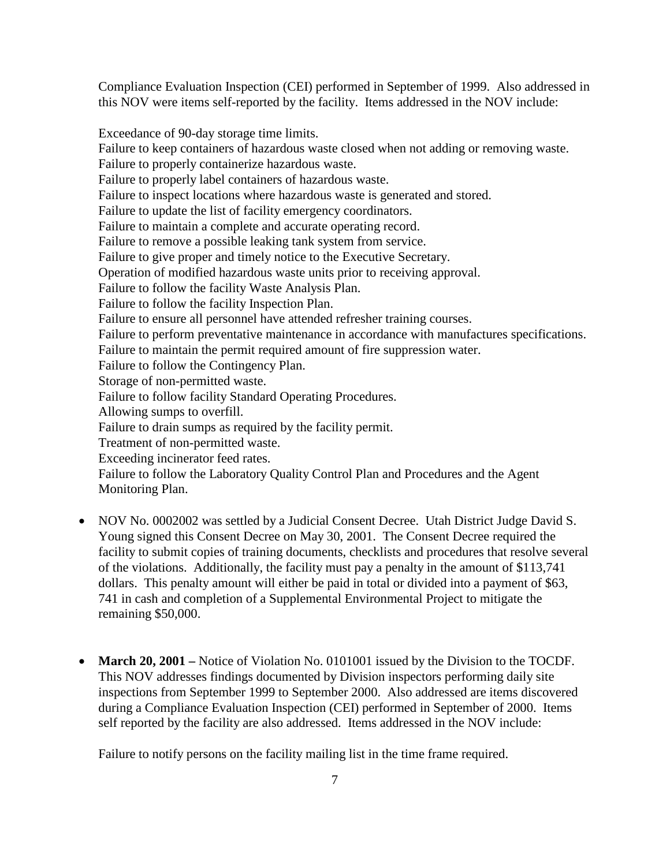Compliance Evaluation Inspection (CEI) performed in September of 1999. Also addressed in this NOV were items self-reported by the facility. Items addressed in the NOV include:

Exceedance of 90-day storage time limits. Failure to keep containers of hazardous waste closed when not adding or removing waste. Failure to properly containerize hazardous waste. Failure to properly label containers of hazardous waste. Failure to inspect locations where hazardous waste is generated and stored. Failure to update the list of facility emergency coordinators. Failure to maintain a complete and accurate operating record. Failure to remove a possible leaking tank system from service. Failure to give proper and timely notice to the Executive Secretary. Operation of modified hazardous waste units prior to receiving approval. Failure to follow the facility Waste Analysis Plan. Failure to follow the facility Inspection Plan. Failure to ensure all personnel have attended refresher training courses. Failure to perform preventative maintenance in accordance with manufactures specifications. Failure to maintain the permit required amount of fire suppression water. Failure to follow the Contingency Plan. Storage of non-permitted waste. Failure to follow facility Standard Operating Procedures. Allowing sumps to overfill. Failure to drain sumps as required by the facility permit. Treatment of non-permitted waste. Exceeding incinerator feed rates. Failure to follow the Laboratory Quality Control Plan and Procedures and the Agent Monitoring Plan.

- NOV No. 0002002 was settled by a Judicial Consent Decree. Utah District Judge David S. Young signed this Consent Decree on May 30, 2001. The Consent Decree required the facility to submit copies of training documents, checklists and procedures that resolve several of the violations. Additionally, the facility must pay a penalty in the amount of \$113,741 dollars. This penalty amount will either be paid in total or divided into a payment of \$63, 741 in cash and completion of a Supplemental Environmental Project to mitigate the remaining \$50,000.
- **March 20, 2001** Notice of Violation No. 0101001 issued by the Division to the TOCDF. This NOV addresses findings documented by Division inspectors performing daily site inspections from September 1999 to September 2000. Also addressed are items discovered during a Compliance Evaluation Inspection (CEI) performed in September of 2000. Items self reported by the facility are also addressed. Items addressed in the NOV include:

Failure to notify persons on the facility mailing list in the time frame required.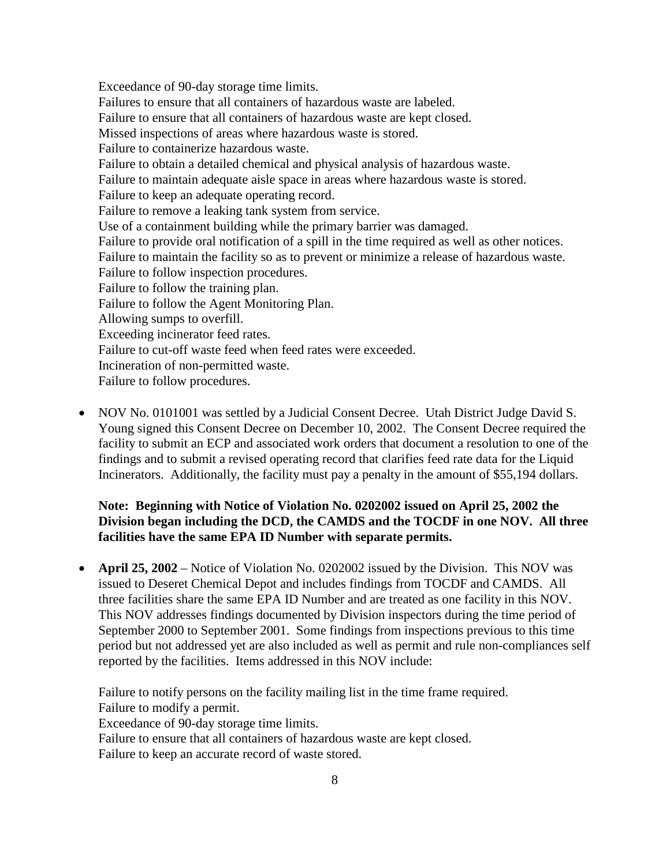Exceedance of 90-day storage time limits. Failures to ensure that all containers of hazardous waste are labeled. Failure to ensure that all containers of hazardous waste are kept closed. Missed inspections of areas where hazardous waste is stored. Failure to containerize hazardous waste. Failure to obtain a detailed chemical and physical analysis of hazardous waste. Failure to maintain adequate aisle space in areas where hazardous waste is stored. Failure to keep an adequate operating record. Failure to remove a leaking tank system from service. Use of a containment building while the primary barrier was damaged. Failure to provide oral notification of a spill in the time required as well as other notices. Failure to maintain the facility so as to prevent or minimize a release of hazardous waste. Failure to follow inspection procedures. Failure to follow the training plan. Failure to follow the Agent Monitoring Plan. Allowing sumps to overfill. Exceeding incinerator feed rates. Failure to cut-off waste feed when feed rates were exceeded. Incineration of non-permitted waste. Failure to follow procedures.

• NOV No. 0101001 was settled by a Judicial Consent Decree. Utah District Judge David S. Young signed this Consent Decree on December 10, 2002. The Consent Decree required the facility to submit an ECP and associated work orders that document a resolution to one of the findings and to submit a revised operating record that clarifies feed rate data for the Liquid Incinerators. Additionally, the facility must pay a penalty in the amount of \$55,194 dollars.

#### **Note: Beginning with Notice of Violation No. 0202002 issued on April 25, 2002 the Division began including the DCD, the CAMDS and the TOCDF in one NOV. All three facilities have the same EPA ID Number with separate permits.**

• **April 25, 2002** – Notice of Violation No. 0202002 issued by the Division. This NOV was issued to Deseret Chemical Depot and includes findings from TOCDF and CAMDS. All three facilities share the same EPA ID Number and are treated as one facility in this NOV. This NOV addresses findings documented by Division inspectors during the time period of September 2000 to September 2001. Some findings from inspections previous to this time period but not addressed yet are also included as well as permit and rule non-compliances self reported by the facilities. Items addressed in this NOV include:

Failure to notify persons on the facility mailing list in the time frame required. Failure to modify a permit.

Exceedance of 90-day storage time limits.

Failure to ensure that all containers of hazardous waste are kept closed.

Failure to keep an accurate record of waste stored.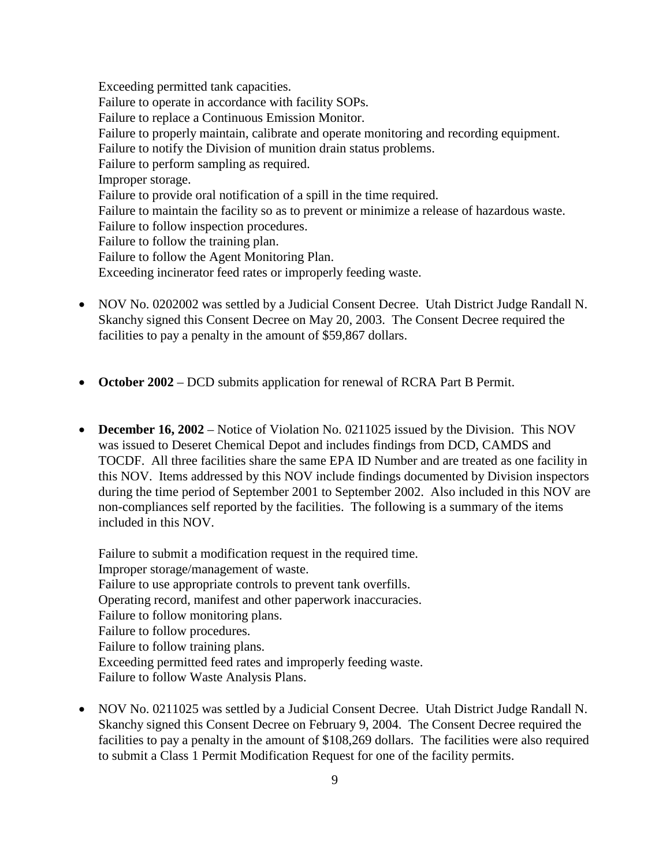Exceeding permitted tank capacities. Failure to operate in accordance with facility SOPs. Failure to replace a Continuous Emission Monitor. Failure to properly maintain, calibrate and operate monitoring and recording equipment. Failure to notify the Division of munition drain status problems. Failure to perform sampling as required. Improper storage. Failure to provide oral notification of a spill in the time required. Failure to maintain the facility so as to prevent or minimize a release of hazardous waste. Failure to follow inspection procedures. Failure to follow the training plan. Failure to follow the Agent Monitoring Plan. Exceeding incinerator feed rates or improperly feeding waste.

- NOV No. 0202002 was settled by a Judicial Consent Decree. Utah District Judge Randall N. Skanchy signed this Consent Decree on May 20, 2003. The Consent Decree required the facilities to pay a penalty in the amount of \$59,867 dollars.
- **October 2002** DCD submits application for renewal of RCRA Part B Permit.
- **December 16, 2002** Notice of Violation No. 0211025 issued by the Division. This NOV was issued to Deseret Chemical Depot and includes findings from DCD, CAMDS and TOCDF. All three facilities share the same EPA ID Number and are treated as one facility in this NOV. Items addressed by this NOV include findings documented by Division inspectors during the time period of September 2001 to September 2002. Also included in this NOV are non-compliances self reported by the facilities. The following is a summary of the items included in this NOV.

Failure to submit a modification request in the required time. Improper storage/management of waste. Failure to use appropriate controls to prevent tank overfills. Operating record, manifest and other paperwork inaccuracies. Failure to follow monitoring plans. Failure to follow procedures. Failure to follow training plans. Exceeding permitted feed rates and improperly feeding waste. Failure to follow Waste Analysis Plans.

• NOV No. 0211025 was settled by a Judicial Consent Decree. Utah District Judge Randall N. Skanchy signed this Consent Decree on February 9, 2004. The Consent Decree required the facilities to pay a penalty in the amount of \$108,269 dollars. The facilities were also required to submit a Class 1 Permit Modification Request for one of the facility permits.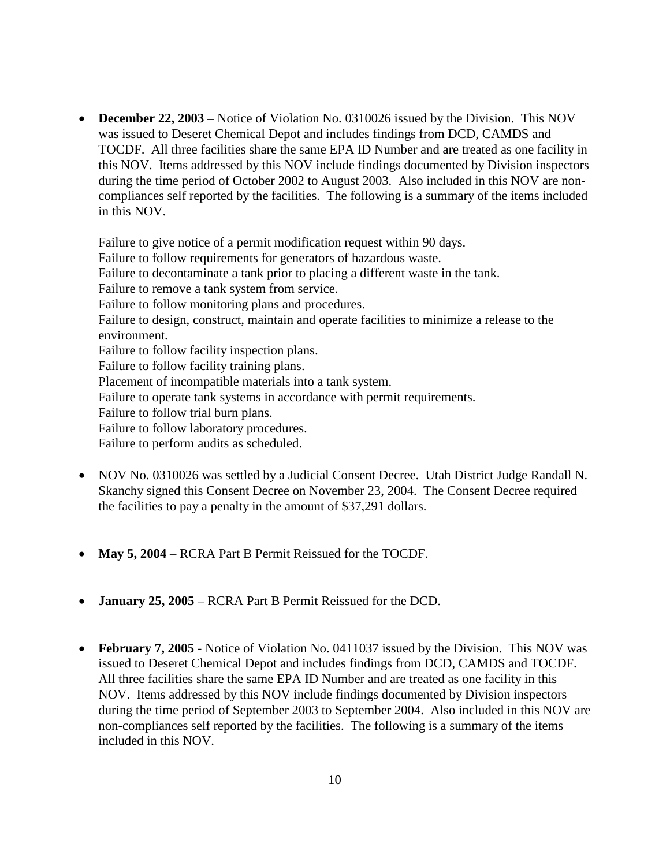• **December 22, 2003** – Notice of Violation No. 0310026 issued by the Division. This NOV was issued to Deseret Chemical Depot and includes findings from DCD, CAMDS and TOCDF. All three facilities share the same EPA ID Number and are treated as one facility in this NOV. Items addressed by this NOV include findings documented by Division inspectors during the time period of October 2002 to August 2003. Also included in this NOV are noncompliances self reported by the facilities. The following is a summary of the items included in this NOV.

Failure to give notice of a permit modification request within 90 days. Failure to follow requirements for generators of hazardous waste. Failure to decontaminate a tank prior to placing a different waste in the tank. Failure to remove a tank system from service. Failure to follow monitoring plans and procedures. Failure to design, construct, maintain and operate facilities to minimize a release to the environment. Failure to follow facility inspection plans. Failure to follow facility training plans. Placement of incompatible materials into a tank system. Failure to operate tank systems in accordance with permit requirements. Failure to follow trial burn plans. Failure to follow laboratory procedures. Failure to perform audits as scheduled.

- NOV No. 0310026 was settled by a Judicial Consent Decree. Utah District Judge Randall N. Skanchy signed this Consent Decree on November 23, 2004. The Consent Decree required the facilities to pay a penalty in the amount of \$37,291 dollars.
- **May 5, 2004** RCRA Part B Permit Reissued for the TOCDF.
- **January 25, 2005** RCRA Part B Permit Reissued for the DCD.
- **February 7, 2005** Notice of Violation No. 0411037 issued by the Division. This NOV was issued to Deseret Chemical Depot and includes findings from DCD, CAMDS and TOCDF. All three facilities share the same EPA ID Number and are treated as one facility in this NOV. Items addressed by this NOV include findings documented by Division inspectors during the time period of September 2003 to September 2004. Also included in this NOV are non-compliances self reported by the facilities. The following is a summary of the items included in this NOV.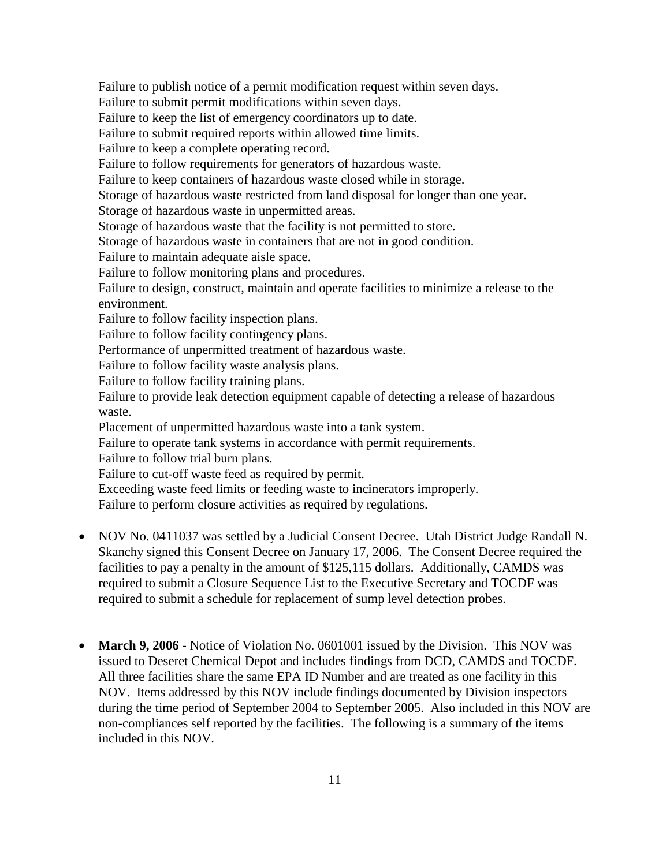Failure to publish notice of a permit modification request within seven days.

Failure to submit permit modifications within seven days.

Failure to keep the list of emergency coordinators up to date.

Failure to submit required reports within allowed time limits.

Failure to keep a complete operating record.

Failure to follow requirements for generators of hazardous waste.

Failure to keep containers of hazardous waste closed while in storage.

Storage of hazardous waste restricted from land disposal for longer than one year.

Storage of hazardous waste in unpermitted areas.

Storage of hazardous waste that the facility is not permitted to store.

Storage of hazardous waste in containers that are not in good condition.

Failure to maintain adequate aisle space.

Failure to follow monitoring plans and procedures.

Failure to design, construct, maintain and operate facilities to minimize a release to the environment.

Failure to follow facility inspection plans.

Failure to follow facility contingency plans.

Performance of unpermitted treatment of hazardous waste.

Failure to follow facility waste analysis plans.

Failure to follow facility training plans.

Failure to provide leak detection equipment capable of detecting a release of hazardous waste.

Placement of unpermitted hazardous waste into a tank system.

Failure to operate tank systems in accordance with permit requirements.

Failure to follow trial burn plans.

Failure to cut-off waste feed as required by permit.

Exceeding waste feed limits or feeding waste to incinerators improperly.

Failure to perform closure activities as required by regulations.

- NOV No. 0411037 was settled by a Judicial Consent Decree. Utah District Judge Randall N. Skanchy signed this Consent Decree on January 17, 2006. The Consent Decree required the facilities to pay a penalty in the amount of \$125,115 dollars. Additionally, CAMDS was required to submit a Closure Sequence List to the Executive Secretary and TOCDF was required to submit a schedule for replacement of sump level detection probes.
- **March 9, 2006** Notice of Violation No. 0601001 issued by the Division. This NOV was issued to Deseret Chemical Depot and includes findings from DCD, CAMDS and TOCDF. All three facilities share the same EPA ID Number and are treated as one facility in this NOV. Items addressed by this NOV include findings documented by Division inspectors during the time period of September 2004 to September 2005. Also included in this NOV are non-compliances self reported by the facilities. The following is a summary of the items included in this NOV.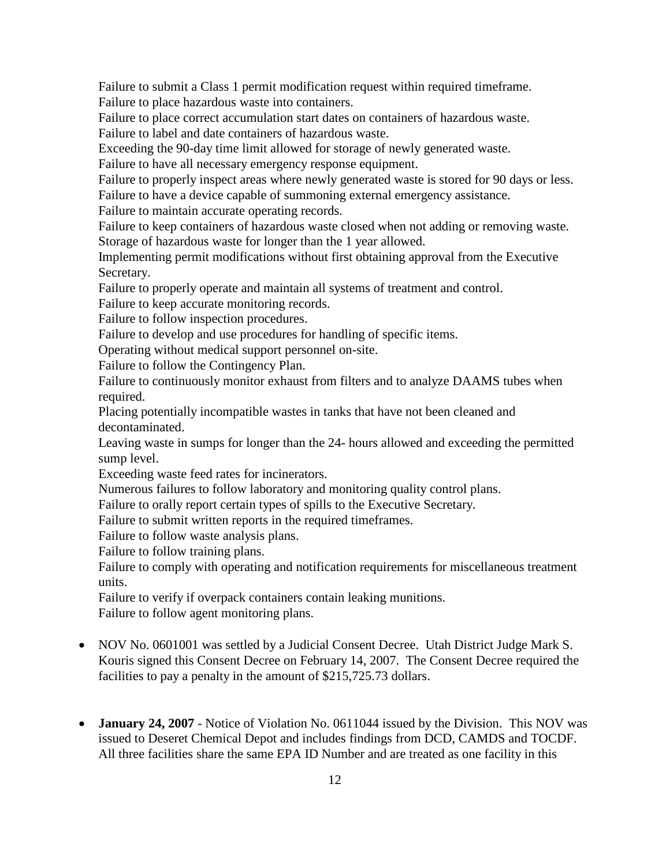Failure to submit a Class 1 permit modification request within required timeframe. Failure to place hazardous waste into containers.

Failure to place correct accumulation start dates on containers of hazardous waste. Failure to label and date containers of hazardous waste.

Exceeding the 90-day time limit allowed for storage of newly generated waste.

Failure to have all necessary emergency response equipment.

Failure to properly inspect areas where newly generated waste is stored for 90 days or less. Failure to have a device capable of summoning external emergency assistance.

Failure to maintain accurate operating records.

Failure to keep containers of hazardous waste closed when not adding or removing waste. Storage of hazardous waste for longer than the 1 year allowed.

Implementing permit modifications without first obtaining approval from the Executive Secretary.

Failure to properly operate and maintain all systems of treatment and control.

Failure to keep accurate monitoring records.

Failure to follow inspection procedures.

Failure to develop and use procedures for handling of specific items.

Operating without medical support personnel on-site.

Failure to follow the Contingency Plan.

Failure to continuously monitor exhaust from filters and to analyze DAAMS tubes when required.

Placing potentially incompatible wastes in tanks that have not been cleaned and decontaminated.

Leaving waste in sumps for longer than the 24- hours allowed and exceeding the permitted sump level.

Exceeding waste feed rates for incinerators.

Numerous failures to follow laboratory and monitoring quality control plans.

Failure to orally report certain types of spills to the Executive Secretary.

Failure to submit written reports in the required timeframes.

Failure to follow waste analysis plans.

Failure to follow training plans.

Failure to comply with operating and notification requirements for miscellaneous treatment units.

Failure to verify if overpack containers contain leaking munitions. Failure to follow agent monitoring plans.

- NOV No. 0601001 was settled by a Judicial Consent Decree. Utah District Judge Mark S. Kouris signed this Consent Decree on February 14, 2007. The Consent Decree required the facilities to pay a penalty in the amount of \$215,725.73 dollars.
- **January 24, 2007** Notice of Violation No. 0611044 issued by the Division. This NOV was issued to Deseret Chemical Depot and includes findings from DCD, CAMDS and TOCDF. All three facilities share the same EPA ID Number and are treated as one facility in this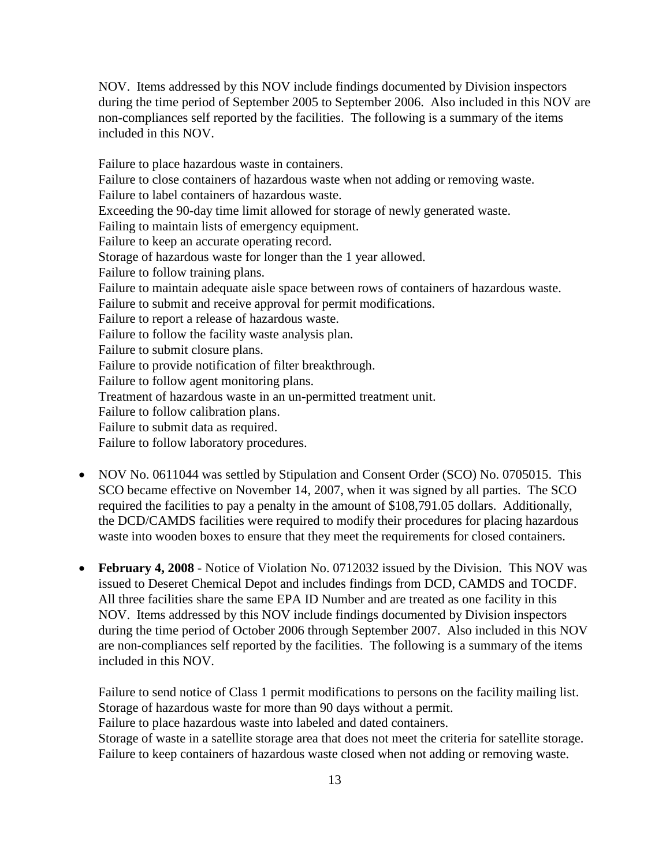NOV. Items addressed by this NOV include findings documented by Division inspectors during the time period of September 2005 to September 2006. Also included in this NOV are non-compliances self reported by the facilities. The following is a summary of the items included in this NOV.

Failure to place hazardous waste in containers. Failure to close containers of hazardous waste when not adding or removing waste. Failure to label containers of hazardous waste. Exceeding the 90-day time limit allowed for storage of newly generated waste. Failing to maintain lists of emergency equipment. Failure to keep an accurate operating record. Storage of hazardous waste for longer than the 1 year allowed. Failure to follow training plans. Failure to maintain adequate aisle space between rows of containers of hazardous waste. Failure to submit and receive approval for permit modifications. Failure to report a release of hazardous waste. Failure to follow the facility waste analysis plan. Failure to submit closure plans. Failure to provide notification of filter breakthrough. Failure to follow agent monitoring plans. Treatment of hazardous waste in an un-permitted treatment unit. Failure to follow calibration plans. Failure to submit data as required. Failure to follow laboratory procedures.

- NOV No. 0611044 was settled by Stipulation and Consent Order (SCO) No. 0705015. This SCO became effective on November 14, 2007, when it was signed by all parties. The SCO required the facilities to pay a penalty in the amount of \$108,791.05 dollars. Additionally, the DCD/CAMDS facilities were required to modify their procedures for placing hazardous waste into wooden boxes to ensure that they meet the requirements for closed containers.
- **February 4, 2008** Notice of Violation No. 0712032 issued by the Division. This NOV was issued to Deseret Chemical Depot and includes findings from DCD, CAMDS and TOCDF. All three facilities share the same EPA ID Number and are treated as one facility in this NOV. Items addressed by this NOV include findings documented by Division inspectors during the time period of October 2006 through September 2007. Also included in this NOV are non-compliances self reported by the facilities. The following is a summary of the items included in this NOV.

Failure to send notice of Class 1 permit modifications to persons on the facility mailing list. Storage of hazardous waste for more than 90 days without a permit. Failure to place hazardous waste into labeled and dated containers. Storage of waste in a satellite storage area that does not meet the criteria for satellite storage. Failure to keep containers of hazardous waste closed when not adding or removing waste.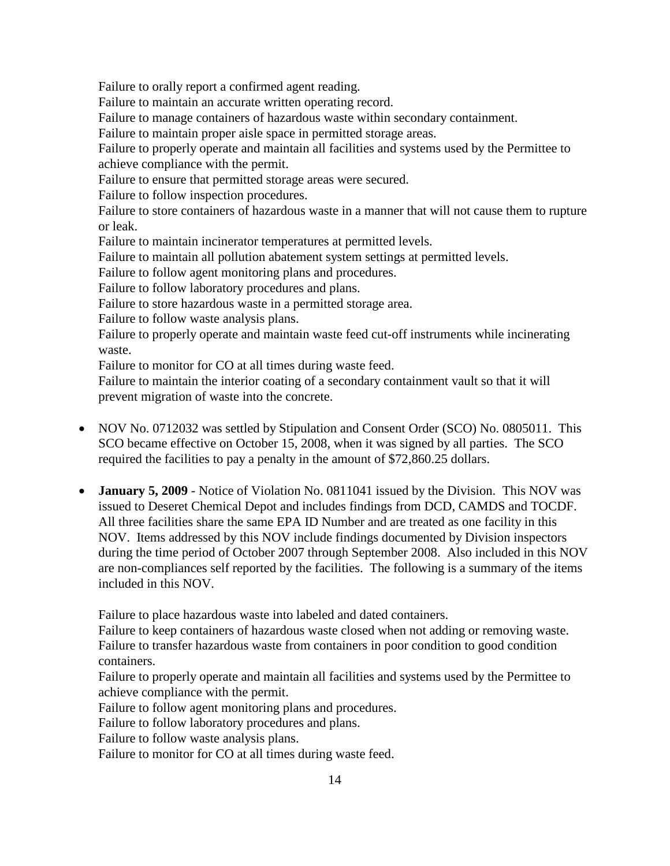Failure to orally report a confirmed agent reading.

Failure to maintain an accurate written operating record.

Failure to manage containers of hazardous waste within secondary containment.

Failure to maintain proper aisle space in permitted storage areas.

Failure to properly operate and maintain all facilities and systems used by the Permittee to achieve compliance with the permit.

Failure to ensure that permitted storage areas were secured.

Failure to follow inspection procedures.

Failure to store containers of hazardous waste in a manner that will not cause them to rupture or leak.

Failure to maintain incinerator temperatures at permitted levels.

Failure to maintain all pollution abatement system settings at permitted levels.

Failure to follow agent monitoring plans and procedures.

Failure to follow laboratory procedures and plans.

Failure to store hazardous waste in a permitted storage area.

Failure to follow waste analysis plans.

Failure to properly operate and maintain waste feed cut-off instruments while incinerating waste.

Failure to monitor for CO at all times during waste feed.

Failure to maintain the interior coating of a secondary containment vault so that it will prevent migration of waste into the concrete.

- NOV No. 0712032 was settled by Stipulation and Consent Order (SCO) No. 0805011. This SCO became effective on October 15, 2008, when it was signed by all parties. The SCO required the facilities to pay a penalty in the amount of \$72,860.25 dollars.
- **January 5, 2009** Notice of Violation No. 0811041 issued by the Division. This NOV was issued to Deseret Chemical Depot and includes findings from DCD, CAMDS and TOCDF. All three facilities share the same EPA ID Number and are treated as one facility in this NOV. Items addressed by this NOV include findings documented by Division inspectors during the time period of October 2007 through September 2008. Also included in this NOV are non-compliances self reported by the facilities. The following is a summary of the items included in this NOV.

Failure to place hazardous waste into labeled and dated containers.

Failure to keep containers of hazardous waste closed when not adding or removing waste. Failure to transfer hazardous waste from containers in poor condition to good condition containers.

Failure to properly operate and maintain all facilities and systems used by the Permittee to achieve compliance with the permit.

Failure to follow agent monitoring plans and procedures.

Failure to follow laboratory procedures and plans.

Failure to follow waste analysis plans.

Failure to monitor for CO at all times during waste feed.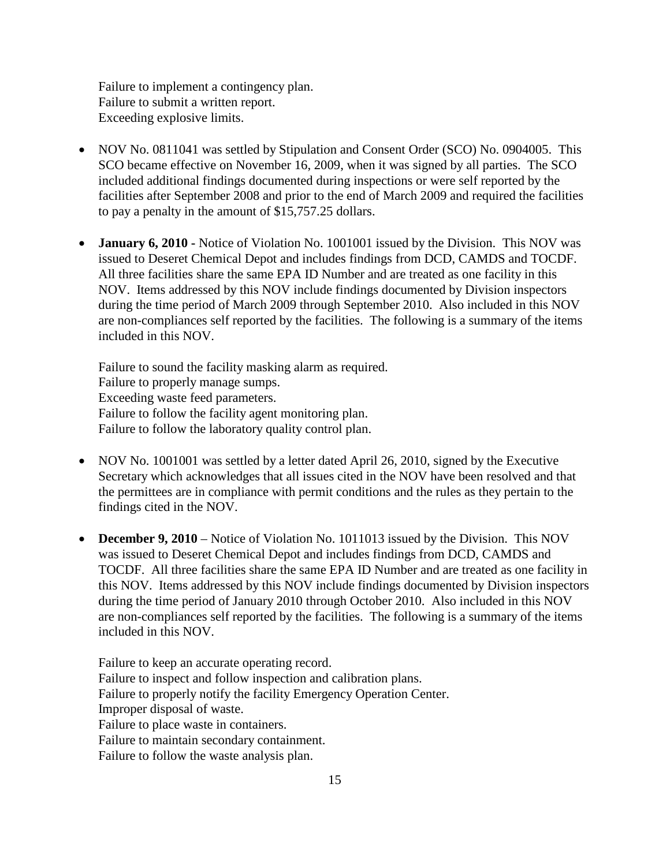Failure to implement a contingency plan. Failure to submit a written report. Exceeding explosive limits.

- NOV No. 0811041 was settled by Stipulation and Consent Order (SCO) No. 0904005. This SCO became effective on November 16, 2009, when it was signed by all parties. The SCO included additional findings documented during inspections or were self reported by the facilities after September 2008 and prior to the end of March 2009 and required the facilities to pay a penalty in the amount of \$15,757.25 dollars.
- **January 6, 2010 -** Notice of Violation No. 1001001 issued by the Division. This NOV was issued to Deseret Chemical Depot and includes findings from DCD, CAMDS and TOCDF. All three facilities share the same EPA ID Number and are treated as one facility in this NOV. Items addressed by this NOV include findings documented by Division inspectors during the time period of March 2009 through September 2010. Also included in this NOV are non-compliances self reported by the facilities. The following is a summary of the items included in this NOV.

Failure to sound the facility masking alarm as required. Failure to properly manage sumps. Exceeding waste feed parameters. Failure to follow the facility agent monitoring plan. Failure to follow the laboratory quality control plan.

- NOV No. 1001001 was settled by a letter dated April 26, 2010, signed by the Executive Secretary which acknowledges that all issues cited in the NOV have been resolved and that the permittees are in compliance with permit conditions and the rules as they pertain to the findings cited in the NOV.
- **December 9, 2010** Notice of Violation No. 1011013 issued by the Division. This NOV was issued to Deseret Chemical Depot and includes findings from DCD, CAMDS and TOCDF. All three facilities share the same EPA ID Number and are treated as one facility in this NOV. Items addressed by this NOV include findings documented by Division inspectors during the time period of January 2010 through October 2010. Also included in this NOV are non-compliances self reported by the facilities. The following is a summary of the items included in this NOV.

Failure to keep an accurate operating record. Failure to inspect and follow inspection and calibration plans. Failure to properly notify the facility Emergency Operation Center. Improper disposal of waste. Failure to place waste in containers. Failure to maintain secondary containment. Failure to follow the waste analysis plan.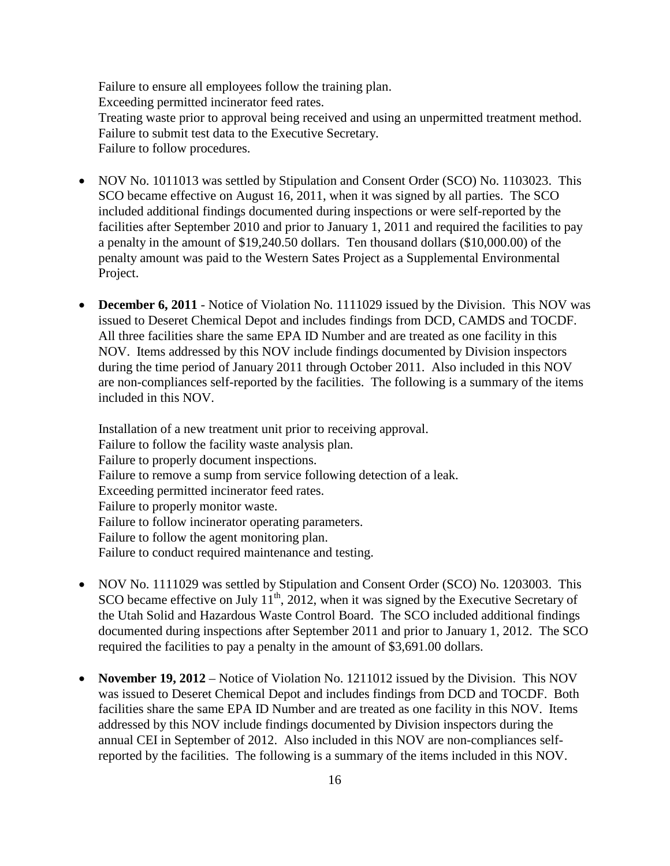Failure to ensure all employees follow the training plan. Exceeding permitted incinerator feed rates. Treating waste prior to approval being received and using an unpermitted treatment method. Failure to submit test data to the Executive Secretary. Failure to follow procedures.

- NOV No. 1011013 was settled by Stipulation and Consent Order (SCO) No. 1103023. This SCO became effective on August 16, 2011, when it was signed by all parties. The SCO included additional findings documented during inspections or were self-reported by the facilities after September 2010 and prior to January 1, 2011 and required the facilities to pay a penalty in the amount of \$19,240.50 dollars. Ten thousand dollars (\$10,000.00) of the penalty amount was paid to the Western Sates Project as a Supplemental Environmental Project.
- **December 6, 2011** Notice of Violation No. 1111029 issued by the Division. This NOV was issued to Deseret Chemical Depot and includes findings from DCD, CAMDS and TOCDF. All three facilities share the same EPA ID Number and are treated as one facility in this NOV. Items addressed by this NOV include findings documented by Division inspectors during the time period of January 2011 through October 2011. Also included in this NOV are non-compliances self-reported by the facilities. The following is a summary of the items included in this NOV.

Installation of a new treatment unit prior to receiving approval. Failure to follow the facility waste analysis plan. Failure to properly document inspections. Failure to remove a sump from service following detection of a leak. Exceeding permitted incinerator feed rates. Failure to properly monitor waste. Failure to follow incinerator operating parameters. Failure to follow the agent monitoring plan. Failure to conduct required maintenance and testing.

- NOV No. 1111029 was settled by Stipulation and Consent Order (SCO) No. 1203003. This SCO became effective on July  $11^{th}$ , 2012, when it was signed by the Executive Secretary of the Utah Solid and Hazardous Waste Control Board. The SCO included additional findings documented during inspections after September 2011 and prior to January 1, 2012. The SCO required the facilities to pay a penalty in the amount of \$3,691.00 dollars.
- **November 19, 2012** Notice of Violation No. 1211012 issued by the Division. This NOV was issued to Deseret Chemical Depot and includes findings from DCD and TOCDF. Both facilities share the same EPA ID Number and are treated as one facility in this NOV. Items addressed by this NOV include findings documented by Division inspectors during the annual CEI in September of 2012. Also included in this NOV are non-compliances selfreported by the facilities. The following is a summary of the items included in this NOV.